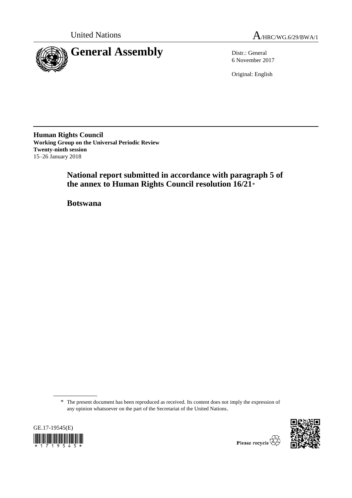

United Nations  $A_{HRC/WG.6/29/BWA/1}$ 

6 November 2017

Original: English

**Human Rights Council Working Group on the Universal Periodic Review Twenty-ninth session** 15–26 January 2018

> **National report submitted in accordance with paragraph 5 of the annex to Human Rights Council resolution 16/21**\*

**Botswana**

<sup>\*</sup> The present document has been reproduced as received. Its content does not imply the expression of any opinion whatsoever on the part of the Secretariat of the United Nations.





Please recycle  $\overleftrightarrow{C}$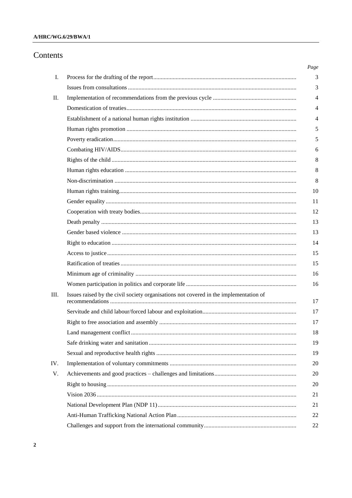## A/HRC/WG.6/29/BWA/1

# Contents

|                                                                                       | Page           |
|---------------------------------------------------------------------------------------|----------------|
|                                                                                       | 3              |
|                                                                                       | 3              |
|                                                                                       | $\overline{4}$ |
|                                                                                       | 4              |
|                                                                                       | $\overline{4}$ |
|                                                                                       | 5              |
|                                                                                       |                |
|                                                                                       | 6              |
|                                                                                       |                |
|                                                                                       |                |
|                                                                                       |                |
|                                                                                       | 10             |
|                                                                                       | 11             |
|                                                                                       | 12             |
|                                                                                       | 13             |
|                                                                                       | 13             |
|                                                                                       | 14             |
|                                                                                       | 15             |
|                                                                                       | 15             |
|                                                                                       | 16             |
|                                                                                       | 16             |
| Issues raised by the civil society organisations not covered in the implementation of | 17             |
|                                                                                       | 17             |
|                                                                                       | 17             |
|                                                                                       | 18             |
|                                                                                       | 19             |
|                                                                                       | 19             |
|                                                                                       | 20             |
|                                                                                       | 20             |
|                                                                                       | 20             |
|                                                                                       | 21             |
|                                                                                       | 21             |
|                                                                                       | 22             |
|                                                                                       | 22             |
|                                                                                       |                |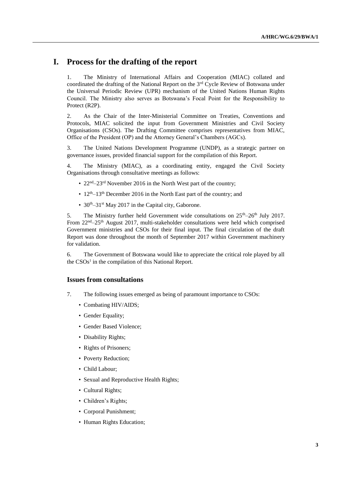# **I. Process for the drafting of the report**

1. The Ministry of International Affairs and Cooperation (MIAC) collated and coordinated the drafting of the National Report on the 3rd Cycle Review of Botswana under the Universal Periodic Review (UPR) mechanism of the United Nations Human Rights Council. The Ministry also serves as Botswana's Focal Point for the Responsibility to Protect (R2P).

2. As the Chair of the Inter-Ministerial Committee on Treaties, Conventions and Protocols, MIAC solicited the input from Government Ministries and Civil Society Organisations (CSOs). The Drafting Committee comprises representatives from MIAC, Office of the President (OP) and the Attorney General's Chambers (AGCs).

3. The United Nations Development Programme (UNDP), as a strategic partner on governance issues, provided financial support for the compilation of this Report.

4. The Ministry (MIAC), as a coordinating entity, engaged the Civil Society Organisations through consultative meetings as follows:

- $22<sup>nd</sup> 23<sup>rd</sup>$  November 2016 in the North West part of the country;
- $12<sup>th</sup>-13<sup>th</sup>$  December 2016 in the North East part of the country; and
- $30<sup>th</sup> 31<sup>st</sup>$  May 2017 in the Capital city, Gaborone.

5. The Ministry further held Government wide consultations on  $25<sup>th</sup>-26<sup>th</sup>$  July 2017. From 22<sup>nd</sup>–25<sup>th</sup> August 2017, multi-stakeholder consultations were held which comprised Government ministries and CSOs for their final input. The final circulation of the draft Report was done throughout the month of September 2017 within Government machinery for validation.

6. The Government of Botswana would like to appreciate the critical role played by all the CSOs<sup>1</sup> in the compilation of this National Report.

#### **Issues from consultations**

- 7. The following issues emerged as being of paramount importance to CSOs:
	- Combating HIV/AIDS;
	- Gender Equality;
	- Gender Based Violence;
	- Disability Rights;
	- Rights of Prisoners;
	- Poverty Reduction;
	- Child Labour;
	- Sexual and Reproductive Health Rights;
	- Cultural Rights;
	- Children's Rights;
	- Corporal Punishment;
	- Human Rights Education;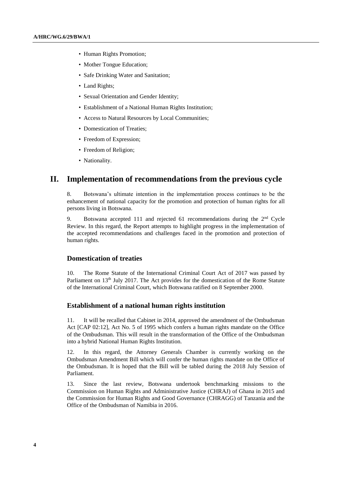- Human Rights Promotion;
- Mother Tongue Education;
- Safe Drinking Water and Sanitation;
- Land Rights;
- Sexual Orientation and Gender Identity;
- Establishment of a National Human Rights Institution;
- Access to Natural Resources by Local Communities;
- Domestication of Treaties;
- Freedom of Expression;
- Freedom of Religion;
- Nationality.

## **II. Implementation of recommendations from the previous cycle**

8. Botswana's ultimate intention in the implementation process continues to be the enhancement of national capacity for the promotion and protection of human rights for all persons living in Botswana.

9. Botswana accepted 111 and rejected 61 recommendations during the  $2<sup>nd</sup>$  Cycle Review. In this regard, the Report attempts to highlight progress in the implementation of the accepted recommendations and challenges faced in the promotion and protection of human rights.

## **Domestication of treaties**

10. The Rome Statute of the International Criminal Court Act of 2017 was passed by Parliament on 13<sup>th</sup> July 2017. The Act provides for the domestication of the Rome Statute of the International Criminal Court, which Botswana ratified on 8 September 2000.

## **Establishment of a national human rights institution**

11. It will be recalled that Cabinet in 2014, approved the amendment of the Ombudsman Act [CAP 02:12], Act No. 5 of 1995 which confers a human rights mandate on the Office of the Ombudsman. This will result in the transformation of the Office of the Ombudsman into a hybrid National Human Rights Institution.

12. In this regard, the Attorney Generals Chamber is currently working on the Ombudsman Amendment Bill which will confer the human rights mandate on the Office of the Ombudsman. It is hoped that the Bill will be tabled during the 2018 July Session of Parliament.

13. Since the last review, Botswana undertook benchmarking missions to the Commission on Human Rights and Administrative Justice (CHRAJ) of Ghana in 2015 and the Commission for Human Rights and Good Governance (CHRAGG) of Tanzania and the Office of the Ombudsman of Namibia in 2016.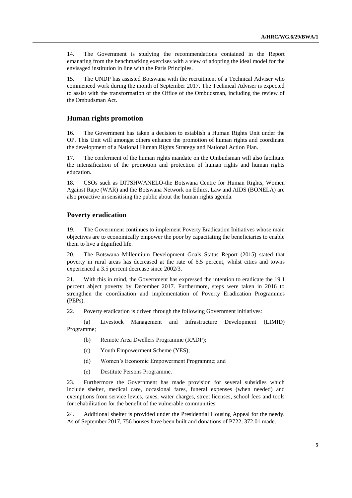14. The Government is studying the recommendations contained in the Report emanating from the benchmarking exercises with a view of adopting the ideal model for the envisaged institution in line with the Paris Principles.

15. The UNDP has assisted Botswana with the recruitment of a Technical Adviser who commenced work during the month of September 2017. The Technical Adviser is expected to assist with the transformation of the Office of the Ombudsman, including the review of the Ombudsman Act.

#### **Human rights promotion**

16. The Government has taken a decision to establish a Human Rights Unit under the OP. This Unit will amongst others enhance the promotion of human rights and coordinate the development of a National Human Rights Strategy and National Action Plan.

17. The conferment of the human rights mandate on the Ombudsman will also facilitate the intensification of the promotion and protection of human rights and human rights education.

18. CSOs such as DITSHWANELO-the Botswana Centre for Human Rights, Women Against Rape (WAR) and the Botswana Network on Ethics, Law and AIDS (BONELA) are also proactive in sensitising the public about the human rights agenda.

#### **Poverty eradication**

19. The Government continues to implement Poverty Eradication Initiatives whose main objectives are to economically empower the poor by capacitating the beneficiaries to enable them to live a dignified life.

20. The Botswana Millennium Development Goals Status Report (2015) stated that poverty in rural areas has decreased at the rate of 6.5 percent, whilst cities and towns experienced a 3.5 percent decrease since 2002/3.

21. With this in mind, the Government has expressed the intention to eradicate the 19.1 percent abject poverty by December 2017. Furthermore, steps were taken in 2016 to strengthen the coordination and implementation of Poverty Eradication Programmes (PEPs).

22. Poverty eradication is driven through the following Government initiatives:

(a) Livestock Management and Infrastructure Development (LIMID) Programme;

- (b) Remote Area Dwellers Programme (RADP);
- (c) Youth Empowerment Scheme (YES);
- (d) Women's Economic Empowerment Programme; and
- (e) Destitute Persons Programme.

23. Furthermore the Government has made provision for several subsidies which include shelter, medical care, occasional fares, funeral expenses (when needed) and exemptions from service levies, taxes, water charges, street licenses, school fees and tools for rehabilitation for the benefit of the vulnerable communities.

24. Additional shelter is provided under the Presidential Housing Appeal for the needy. As of September 2017, 756 houses have been built and donations of P722, 372.01 made.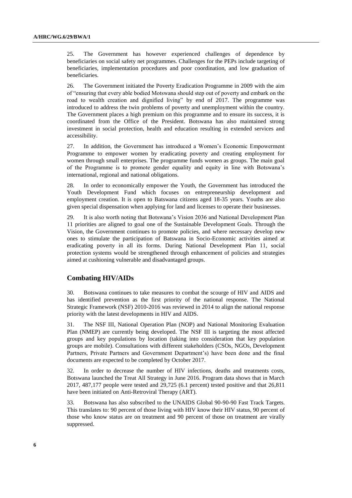25. The Government has however experienced challenges of dependence by beneficiaries on social safety net programmes. Challenges for the PEPs include targeting of beneficiaries, implementation procedures and poor coordination, and low graduation of beneficiaries.

26. The Government initiated the Poverty Eradication Programme in 2009 with the aim of "ensuring that every able bodied Motswana should step out of poverty and embark on the road to wealth creation and dignified living" by end of 2017. The programme was introduced to address the twin problems of poverty and unemployment within the country. The Government places a high premium on this programme and to ensure its success, it is coordinated from the Office of the President. Botswana has also maintained strong investment in social protection, health and education resulting in extended services and accessibility.

27. In addition, the Government has introduced a Women's Economic Empowerment Programme to empower women by eradicating poverty and creating employment for women through small enterprises. The programme funds women as groups. The main goal of the Programme is to promote gender equality and equity in line with Botswana's international, regional and national obligations.

28. In order to economically empower the Youth, the Government has introduced the Youth Development Fund which focuses on entrepreneurship development and employment creation. It is open to Batswana citizens aged 18-35 years. Youths are also given special dispensation when applying for land and licenses to operate their businesses.

29. It is also worth noting that Botswana's Vision 2036 and National Development Plan 11 priorities are aligned to goal one of the Sustainable Development Goals. Through the Vision, the Government continues to promote policies, and where necessary develop new ones to stimulate the participation of Batswana in Socio-Economic activities aimed at eradicating poverty in all its forms. During National Development Plan 11, social protection systems would be strengthened through enhancement of policies and strategies aimed at cushioning vulnerable and disadvantaged groups.

### **Combating HIV/AIDs**

30. Botswana continues to take measures to combat the scourge of HIV and AIDS and has identified prevention as the first priority of the national response. The National Strategic Framework (NSF) 2010-2016 was reviewed in 2014 to align the national response priority with the latest developments in HIV and AIDS.

31. The NSF III, National Operation Plan (NOP) and National Monitoring Evaluation Plan (NMEP) are currently being developed. The NSF III is targeting the most affected groups and key populations by location (taking into consideration that key population groups are mobile). Consultations with different stakeholders (CSOs, NGOs, Development Partners, Private Partners and Government Department's) have been done and the final documents are expected to be completed by October 2017.

32. In order to decrease the number of HIV infections, deaths and treatments costs, Botswana launched the Treat All Strategy in June 2016. Program data shows that in March 2017, 487,177 people were tested and 29,725 (6.1 percent) tested positive and that 26,811 have been initiated on Anti-Retroviral Therapy (ART).

33. Botswana has also subscribed to the UNAIDS Global 90-90-90 Fast Track Targets. This translates to: 90 percent of those living with HIV know their HIV status, 90 percent of those who know status are on treatment and 90 percent of those on treatment are virally suppressed.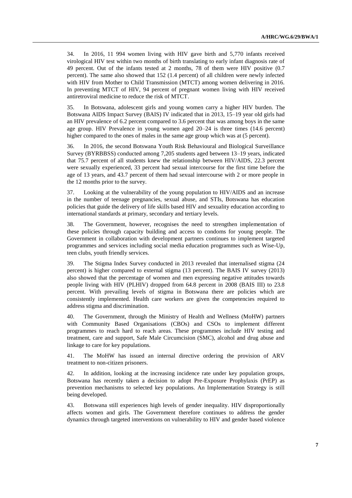34. In 2016, 11 994 women living with HIV gave birth and 5,770 infants received virological HIV test within two months of birth translating to early infant diagnosis rate of 49 percent. Out of the infants tested at 2 months, 78 of them were HIV positive (0.7 percent). The same also showed that 152 (1.4 percent) of all children were newly infected with HIV from Mother to Child Transmission (MTCT) among women delivering in 2016. In preventing MTCT of HIV, 94 percent of pregnant women living with HIV received antiretroviral medicine to reduce the risk of MTCT.

35. In Botswana, adolescent girls and young women carry a higher HIV burden. The Botswana AIDS Impact Survey (BAIS) IV indicated that in 2013, 15–19 year old girls had an HIV prevalence of 6.2 percent compared to 3.6 percent that was among boys in the same age group. HIV Prevalence in young women aged 20–24 is three times (14.6 percent) higher compared to the ones of males in the same age group which was at (5 percent).

36. In 2016, the second Botswana Youth Risk Behavioural and Biological Surveillance Survey (BYRBBSS) conducted among 7,205 students aged between 13–19 years, indicated that 75.7 percent of all students knew the relationship between HIV/AIDS, 22.3 percent were sexually experienced, 33 percent had sexual intercourse for the first time before the age of 13 years, and 43.7 percent of them had sexual intercourse with 2 or more people in the 12 months prior to the survey.

37. Looking at the vulnerability of the young population to HIV/AIDS and an increase in the number of teenage pregnancies, sexual abuse, and STIs, Botswana has education policies that guide the delivery of life skills based HIV and sexuality education according to international standards at primary, secondary and tertiary levels.

38. The Government, however, recognises the need to strengthen implementation of these policies through capacity building and access to condoms for young people. The Government in collaboration with development partners continues to implement targeted programmes and services including social media education programmes such as Wise-Up, teen clubs, youth friendly services.

39. The Stigma Index Survey conducted in 2013 revealed that internalised stigma (24 percent) is higher compared to external stigma (13 percent). The BAIS IV survey (2013) also showed that the percentage of women and men expressing negative attitudes towards people living with HIV (PLHIV) dropped from 64.8 percent in 2008 (BAIS III) to 23.8 percent. With prevailing levels of stigma in Botswana there are policies which are consistently implemented. Health care workers are given the competencies required to address stigma and discrimination.

40. The Government, through the Ministry of Health and Wellness (MoHW) partners with Community Based Organisations (CBOs) and CSOs to implement different programmes to reach hard to reach areas. These programmes include HIV testing and treatment, care and support, Safe Male Circumcision (SMC), alcohol and drug abuse and linkage to care for key populations.

41. The MoHW has issued an internal directive ordering the provision of ARV treatment to non-citizen prisoners.

42. In addition, looking at the increasing incidence rate under key population groups, Botswana has recently taken a decision to adopt Pre-Exposure Prophylaxis (PrEP) as prevention mechanisms to selected key populations. An Implementation Strategy is still being developed.

43. Botswana still experiences high levels of gender inequality. HIV disproportionally affects women and girls. The Government therefore continues to address the gender dynamics through targeted interventions on vulnerability to HIV and gender based violence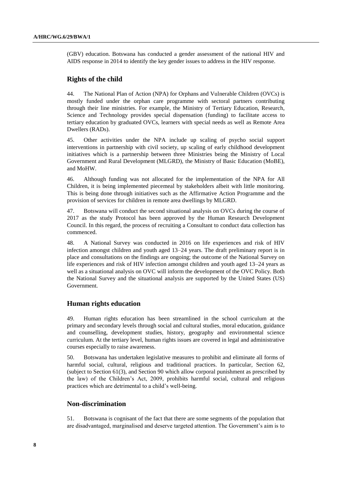(GBV) education. Botswana has conducted a gender assessment of the national HIV and AIDS response in 2014 to identify the key gender issues to address in the HIV response.

#### **Rights of the child**

44. The National Plan of Action (NPA) for Orphans and Vulnerable Children (OVCs) is mostly funded under the orphan care programme with sectoral partners contributing through their line ministries. For example, the Ministry of Tertiary Education, Research, Science and Technology provides special dispensation (funding) to facilitate access to tertiary education by graduated OVCs, learners with special needs as well as Remote Area Dwellers (RADs).

45. Other activities under the NPA include up scaling of psycho social support interventions in partnership with civil society, up scaling of early childhood development initiatives which is a partnership between three Ministries being the Ministry of Local Government and Rural Development (MLGRD), the Ministry of Basic Education (MoBE), and MoHW.

46. Although funding was not allocated for the implementation of the NPA for All Children, it is being implemented piecemeal by stakeholders albeit with little monitoring. This is being done through initiatives such as the Affirmative Action Programme and the provision of services for children in remote area dwellings by MLGRD.

47. Botswana will conduct the second situational analysis on OVCs during the course of 2017 as the study Protocol has been approved by the Human Research Development Council. In this regard, the process of recruiting a Consultant to conduct data collection has commenced.

48. A National Survey was conducted in 2016 on life experiences and risk of HIV infection amongst children and youth aged 13–24 years. The draft preliminary report is in place and consultations on the findings are ongoing; the outcome of the National Survey on life experiences and risk of HIV infection amongst children and youth aged 13–24 years as well as a situational analysis on OVC will inform the development of the OVC Policy. Both the National Survey and the situational analysis are supported by the United States (US) Government.

### **Human rights education**

49. Human rights education has been streamlined in the school curriculum at the primary and secondary levels through social and cultural studies, moral education, guidance and counselling, development studies, history, geography and environmental science curriculum. At the tertiary level, human rights issues are covered in legal and administrative courses especially to raise awareness.

50. Botswana has undertaken legislative measures to prohibit and eliminate all forms of harmful social, cultural, religious and traditional practices. In particular, Section 62, (subject to Section 61(3), and Section 90 which allow corporal punishment as prescribed by the law) of the Children's Act, 2009, prohibits harmful social, cultural and religious practices which are detrimental to a child's well-being.

## **Non-discrimination**

51. Botswana is cognisant of the fact that there are some segments of the population that are disadvantaged, marginalised and deserve targeted attention. The Government's aim is to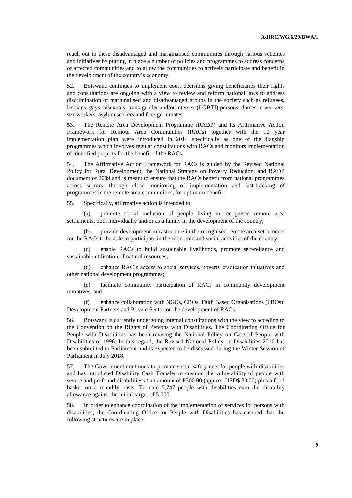reach out to these disadvantaged and marginalised communities through various schemes and initiatives by putting in place a number of policies and programmes to address concerns of affected communities and to allow the communities to actively participate and benefit in the development of the country's economy.

52. Botswana continues to implement court decisions giving beneficiaries their rights and consultations are ongoing with a view to review and reform national laws to address discrimination of marginalised and disadvantaged groups in the society such as refugees, lesbians, gays, bisexuals, trans-gender and/or intersex (LGBTI) persons, domestic workers, sex workers, asylum seekers and foreign inmates.

53. The Remote Area Development Programme (RADP) and its Affirmative Action Framework for Remote Area Communities (RACs) together with the 10 year implementation plan were introduced in 2014 specifically as one of the flagship programmes which involves regular consultations with RACs and monitors implementation of identified projects for the benefit of the RACs.

54. The Affirmative Action Framework for RACs is guided by the Revised National Policy for Rural Development, the National Strategy on Poverty Reduction, and RADP document of 2009 and is meant to ensure that the RACs benefit from national programmes across sectors, through close monitoring of implementation and fast-tracking of programmes in the remote area communities, for optimum benefit.

55. Specifically, affirmative action is intended to:

(a) promote social inclusion of people living in recognised remote area settlements, both individually and/or as a family in the development of the country;

(b) provide development infrastructure in the recognised remote area settlements for the RACs to be able to participate in the economic and social activities of the country;

(c) enable RACs to build sustainable livelihoods, promote self-reliance and sustainable utilisation of natural resources;

(d) enhance RAC's access to social services, poverty eradication initiatives and other national development programmes;

(e) facilitate community participation of RACs in community development initiatives; and

(f) enhance collaboration with NGOs, CBOs, Faith Based Organisations (FBOs), Development Partners and Private Sector on the development of RACs.

56. Botswana is currently undergoing internal consultations with the view to acceding to the Convention on the Rights of Persons with Disabilities. The Coordinating Office for People with Disabilities has been revising the National Policy on Care of People with Disabilities of 1996. In this regard, the Revised National Policy on Disabilities 2016 has been submitted to Parliament and is expected to be discussed during the Winter Session of Parliament in July 2018.

57. The Government continues to provide social safety nets for people with disabilities and has introduced Disability Cash Transfer to cushion the vulnerability of people with severe and profound disabilities at an amount of P300.00 (approx. USD\$ 30.00) plus a food basket on a monthly basis. To date 5,747 people with disabilities earn the disability allowance against the initial target of 5,000.

58. In order to enhance coordination of the implementation of services for persons with disabilities, the Coordinating Office for People with Disabilities has ensured that the following structures are in place: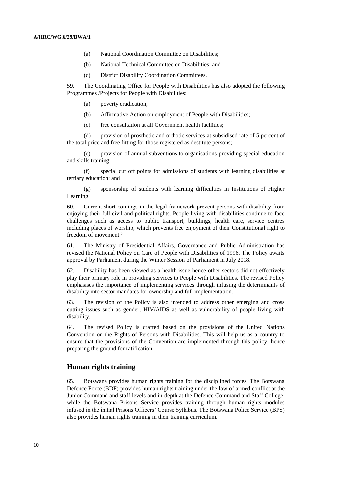- (a) National Coordination Committee on Disabilities;
- (b) National Technical Committee on Disabilities; and
- (c) District Disability Coordination Committees.

59. The Coordinating Office for People with Disabilities has also adopted the following Programmes /Projects for People with Disabilities:

- (a) poverty eradication;
- (b) Affirmative Action on employment of People with Disabilities;
- (c) free consultation at all Government health facilities;

(d) provision of prosthetic and orthotic services at subsidised rate of 5 percent of the total price and free fitting for those registered as destitute persons;

(e) provision of annual subventions to organisations providing special education and skills training;

(f) special cut off points for admissions of students with learning disabilities at tertiary education; and

(g) sponsorship of students with learning difficulties in Institutions of Higher Learning.

60. Current short comings in the legal framework prevent persons with disability from enjoying their full civil and political rights. People living with disabilities continue to face challenges such as access to public transport, buildings, health care, service centres including places of worship, which prevents free enjoyment of their Constitutional right to freedom of movement.<sup>2</sup>

61. The Ministry of Presidential Affairs, Governance and Public Administration has revised the National Policy on Care of People with Disabilities of 1996. The Policy awaits approval by Parliament during the Winter Session of Parliament in July 2018.

62. Disability has been viewed as a health issue hence other sectors did not effectively play their primary role in providing services to People with Disabilities. The revised Policy emphasises the importance of implementing services through infusing the determinants of disability into sector mandates for ownership and full implementation.

63. The revision of the Policy is also intended to address other emerging and cross cutting issues such as gender, HIV/AIDS as well as vulnerability of people living with disability.

64. The revised Policy is crafted based on the provisions of the United Nations Convention on the Rights of Persons with Disabilities. This will help us as a country to ensure that the provisions of the Convention are implemented through this policy, hence preparing the ground for ratification.

#### **Human rights training**

65. Botswana provides human rights training for the disciplined forces. The Botswana Defence Force (BDF) provides human rights training under the law of armed conflict at the Junior Command and staff levels and in-depth at the Defence Command and Staff College, while the Botswana Prisons Service provides training through human rights modules infused in the initial Prisons Officers' Course Syllabus. The Botswana Police Service (BPS) also provides human rights training in their training curriculum.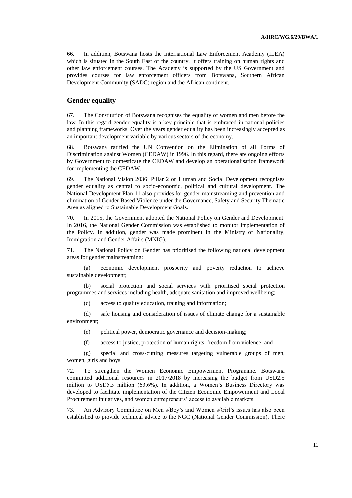66. In addition, Botswana hosts the International Law Enforcement Academy (ILEA) which is situated in the South East of the country. It offers training on human rights and other law enforcement courses. The Academy is supported by the US Government and provides courses for law enforcement officers from Botswana, Southern African Development Community (SADC) region and the African continent.

## **Gender equality**

67. The Constitution of Botswana recognises the equality of women and men before the law. In this regard gender equality is a key principle that is embraced in national policies and planning frameworks. Over the years gender equality has been increasingly accepted as an important development variable by various sectors of the economy.

68. Botswana ratified the UN Convention on the Elimination of all Forms of Discrimination against Women (CEDAW) in 1996. In this regard, there are ongoing efforts by Government to domesticate the CEDAW and develop an operationalisation framework for implementing the CEDAW.

69. The National Vision 2036: Pillar 2 on Human and Social Development recognises gender equality as central to socio-economic, political and cultural development. The National Development Plan 11 also provides for gender mainstreaming and prevention and elimination of Gender Based Violence under the Governance, Safety and Security Thematic Area as aligned to Sustainable Development Goals.

70. In 2015, the Government adopted the National Policy on Gender and Development. In 2016, the National Gender Commission was established to monitor implementation of the Policy. In addition, gender was made prominent in the Ministry of Nationality, Immigration and Gender Affairs (MNIG).

71. The National Policy on Gender has prioritised the following national development areas for gender mainstreaming:

(a) economic development prosperity and poverty reduction to achieve sustainable development;

(b) social protection and social services with prioritised social protection programmes and services including health, adequate sanitation and improved wellbeing;

(c) access to quality education, training and information;

(d) safe housing and consideration of issues of climate change for a sustainable environment;

- (e) political power, democratic governance and decision-making;
- (f) access to justice, protection of human rights, freedom from violence; and

(g) special and cross-cutting measures targeting vulnerable groups of men, women, girls and boys.

72. To strengthen the Women Economic Empowerment Programme, Botswana committed additional resources in 2017/2018 by increasing the budget from USD2.5 million to USD5.5 million (63.6%). In addition, a Women's Business Directory was developed to facilitate implementation of the Citizen Economic Empowerment and Local Procurement initiatives, and women entrepreneurs' access to available markets.

73. An Advisory Committee on Men's/Boy's and Women's/Girl's issues has also been established to provide technical advice to the NGC (National Gender Commission). There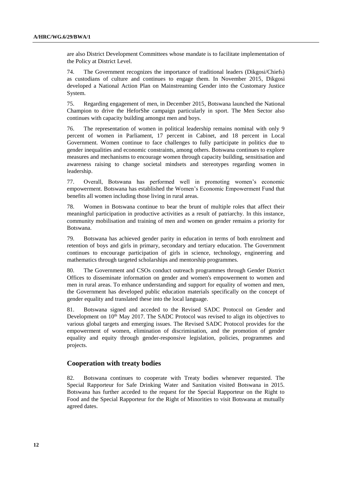are also District Development Committees whose mandate is to facilitate implementation of the Policy at District Level.

74. The Government recognizes the importance of traditional leaders (Dikgosi/Chiefs) as custodians of culture and continues to engage them. In November 2015, Dikgosi developed a National Action Plan on Mainstreaming Gender into the Customary Justice System.

75. Regarding engagement of men, in December 2015, Botswana launched the National Champion to drive the HeforShe campaign particularly in sport. The Men Sector also continues with capacity building amongst men and boys.

76. The representation of women in political leadership remains nominal with only 9 percent of women in Parliament, 17 percent in Cabinet, and 18 percent in Local Government. Women continue to face challenges to fully participate in politics due to gender inequalities and economic constraints, among others. Botswana continues to explore measures and mechanisms to encourage women through capacity building, sensitisation and awareness raising to change societal mindsets and stereotypes regarding women in leadership.

77. Overall, Botswana has performed well in promoting women's economic empowerment. Botswana has established the Women's Economic Empowerment Fund that benefits all women including those living in rural areas.

78. Women in Botswana continue to bear the brunt of multiple roles that affect their meaningful participation in productive activities as a result of patriarchy. In this instance, community mobilisation and training of men and women on gender remains a priority for Botswana.

79. Botswana has achieved gender parity in education in terms of both enrolment and retention of boys and girls in primary, secondary and tertiary education. The Government continues to encourage participation of girls in science, technology, engineering and mathematics through targeted scholarships and mentorship programmes.

80. The Government and CSOs conduct outreach programmes through Gender District Offices to disseminate information on gender and women's empowerment to women and men in rural areas. To enhance understanding and support for equality of women and men, the Government has developed public education materials specifically on the concept of gender equality and translated these into the local language.

81. Botswana signed and acceded to the Revised SADC Protocol on Gender and Development on  $10<sup>th</sup>$  May 2017. The SADC Protocol was revised to align its objectives to various global targets and emerging issues. The Revised SADC Protocol provides for the empowerment of women, elimination of discrimination, and the promotion of gender equality and equity through gender-responsive legislation, policies, programmes and projects.

## **Cooperation with treaty bodies**

82. Botswana continues to cooperate with Treaty bodies whenever requested. The Special Rapporteur for Safe Drinking Water and Sanitation visited Botswana in 2015. Botswana has further acceded to the request for the Special Rapporteur on the Right to Food and the Special Rapporteur for the Right of Minorities to visit Botswana at mutually agreed dates.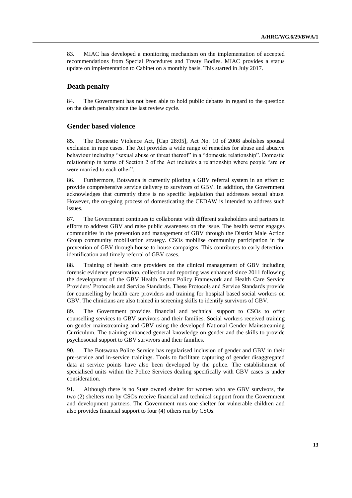83. MIAC has developed a monitoring mechanism on the implementation of accepted recommendations from Special Procedures and Treaty Bodies. MIAC provides a status update on implementation to Cabinet on a monthly basis. This started in July 2017.

## **Death penalty**

84. The Government has not been able to hold public debates in regard to the question on the death penalty since the last review cycle.

## **Gender based violence**

85. The Domestic Violence Act, [Cap 28:05], Act No. 10 of 2008 abolishes spousal exclusion in rape cases. The Act provides a wide range of remedies for abuse and abusive behaviour including "sexual abuse or threat thereof" in a "domestic relationship". Domestic relationship in terms of Section 2 of the Act includes a relationship where people "are or were married to each other".

86. Furthermore, Botswana is currently piloting a GBV referral system in an effort to provide comprehensive service delivery to survivors of GBV. In addition, the Government acknowledges that currently there is no specific legislation that addresses sexual abuse. However, the on-going process of domesticating the CEDAW is intended to address such issues.

87. The Government continues to collaborate with different stakeholders and partners in efforts to address GBV and raise public awareness on the issue. The health sector engages communities in the prevention and management of GBV through the District Male Action Group community mobilisation strategy. CSOs mobilise community participation in the prevention of GBV through house-to-house campaigns. This contributes to early detection, identification and timely referral of GBV cases.

88. Training of health care providers on the clinical management of GBV including forensic evidence preservation, collection and reporting was enhanced since 2011 following the development of the GBV Health Sector Policy Framework and Health Care Service Providers' Protocols and Service Standards. These Protocols and Service Standards provide for counselling by health care providers and training for hospital based social workers on GBV. The clinicians are also trained in screening skills to identify survivors of GBV.

89. The Government provides financial and technical support to CSOs to offer counselling services to GBV survivors and their families. Social workers received training on gender mainstreaming and GBV using the developed National Gender Mainstreaming Curriculum. The training enhanced general knowledge on gender and the skills to provide psychosocial support to GBV survivors and their families.

90. The Botswana Police Service has regularised inclusion of gender and GBV in their pre-service and in-service trainings. Tools to facilitate capturing of gender disaggregated data at service points have also been developed by the police. The establishment of specialised units within the Police Services dealing specifically with GBV cases is under consideration.

91. Although there is no State owned shelter for women who are GBV survivors, the two (2) shelters run by CSOs receive financial and technical support from the Government and development partners. The Government runs one shelter for vulnerable children and also provides financial support to four (4) others run by CSOs.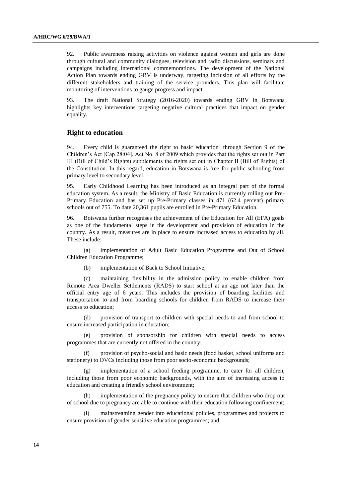92. Public awareness raising activities on violence against women and girls are done through cultural and community dialogues, television and radio discussions, seminars and campaigns including international commemorations. The development of the National Action Plan towards ending GBV is underway, targeting inclusion of all efforts by the different stakeholders and training of the service providers. This plan will facilitate monitoring of interventions to gauge progress and impact.

93. The draft National Strategy (2016-2020) towards ending GBV in Botswana highlights key interventions targeting negative cultural practices that impact on gender equality.

#### **Right to education**

94. Every child is guaranteed the right to basic education<sup>3</sup> through Section 9 of the Children's Act [Cap 28:04], Act No. 8 of 2009 which provides that the rights set out in Part III (Bill of Child's Rights) supplements the rights set out in Chapter II (Bill of Rights) of the Constitution. In this regard, education in Botswana is free for public schooling from primary level to secondary level.

95. Early Childhood Learning has been introduced as an integral part of the formal education system. As a result, the Ministry of Basic Education is currently rolling out Pre-Primary Education and has set up Pre-Primary classes in 471 (62.4 percent) primary schools out of 755. To date 20,361 pupils are enrolled in Pre-Primary Education.

96. Botswana further recognises the achievement of the Education for All (EFA) goals as one of the fundamental steps in the development and provision of education in the country. As a result, measures are in place to ensure increased access to education by all. These include:

(a) implementation of Adult Basic Education Programme and Out of School Children Education Programme;

(b) implementation of Back to School Initiative;

(c) maintaining flexibility in the admission policy to enable children from Remote Area Dweller Settlements (RADS) to start school at an age not later than the official entry age of 6 years. This includes the provision of boarding facilities and transportation to and from boarding schools for children from RADS to increase their access to education;

(d) provision of transport to children with special needs to and from school to ensure increased participation in education;

(e) provision of sponsorship for children with special needs to access programmes that are currently not offered in the country;

(f) provision of psycho-social and basic needs (food basket, school uniforms and stationery) to OVCs including those from poor socio-economic backgrounds;

implementation of a school feeding programme, to cater for all children, including those from poor economic backgrounds, with the aim of increasing access to education and creating a friendly school environment;

(h) implementation of the pregnancy policy to ensure that children who drop out of school due to pregnancy are able to continue with their education following confinement;

(i) mainstreaming gender into educational policies, programmes and projects to ensure provision of gender sensitive education programmes; and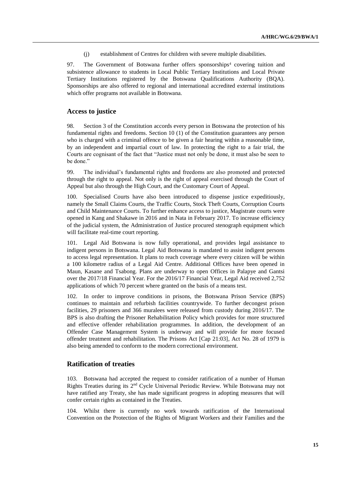(j) establishment of Centres for children with severe multiple disabilities.

97. The Government of Botswana further offers sponsorships<sup>4</sup> covering tuition and subsistence allowance to students in Local Public Tertiary Institutions and Local Private Tertiary Institutions registered by the Botswana Qualifications Authority (BQA). Sponsorships are also offered to regional and international accredited external institutions which offer programs not available in Botswana.

#### **Access to justice**

98. Section 3 of the Constitution accords every person in Botswana the protection of his fundamental rights and freedoms. Section 10 (1) of the Constitution guarantees any person who is charged with a criminal offence to be given a fair hearing within a reasonable time, by an independent and impartial court of law. In protecting the right to a fair trial, the Courts are cognisant of the fact that "Justice must not only be done, it must also be seen to be done."

99. The individual's fundamental rights and freedoms are also promoted and protected through the right to appeal. Not only is the right of appeal exercised through the Court of Appeal but also through the High Court, and the Customary Court of Appeal.

100. Specialised Courts have also been introduced to dispense justice expeditiously, namely the Small Claims Courts, the Traffic Courts, Stock Theft Courts, Corruption Courts and Child Maintenance Courts. To further enhance access to justice, Magistrate courts were opened in Kang and Shakawe in 2016 and in Nata in February 2017. To increase efficiency of the judicial system, the Administration of Justice procured stenograph equipment which will facilitate real-time court reporting.

101. Legal Aid Botswana is now fully operational, and provides legal assistance to indigent persons in Botswana. Legal Aid Botswana is mandated to assist indigent persons to access legal representation. It plans to reach coverage where every citizen will be within a 100 kilometre radius of a Legal Aid Centre. Additional Offices have been opened in Maun, Kasane and Tsabong. Plans are underway to open Offices in Palapye and Gantsi over the 2017/18 Financial Year. For the 2016/17 Financial Year, Legal Aid received 2,752 applications of which 70 percent where granted on the basis of a means test.

102. In order to improve conditions in prisons, the Botswana Prison Service (BPS) continues to maintain and refurbish facilities countrywide. To further decongest prison facilities, 29 prisoners and 366 muralees were released from custody during 2016/17. The BPS is also drafting the Prisoner Rehabilitation Policy which provides for more structured and effective offender rehabilitation programmes. In addition, the development of an Offender Case Management System is underway and will provide for more focused offender treatment and rehabilitation. The Prisons Act [Cap 21:03], Act No. 28 of 1979 is also being amended to conform to the modern correctional environment.

## **Ratification of treaties**

103. Botswana had accepted the request to consider ratification of a number of Human Rights Treaties during its 2<sup>nd</sup> Cycle Universal Periodic Review. While Botswana may not have ratified any Treaty, she has made significant progress in adopting measures that will confer certain rights as contained in the Treaties.

104. Whilst there is currently no work towards ratification of the International Convention on the Protection of the Rights of Migrant Workers and their Families and the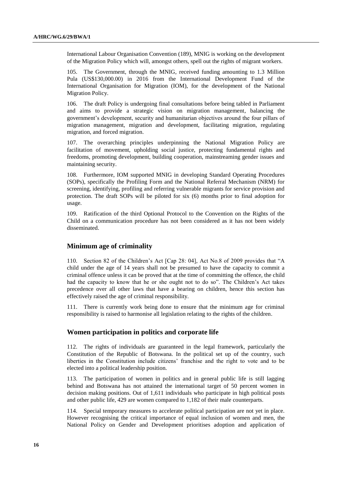International Labour Organisation Convention (189), MNIG is working on the development of the Migration Policy which will, amongst others, spell out the rights of migrant workers.

105. The Government, through the MNIG, received funding amounting to 1.3 Million Pula (US\$130,000.00) in 2016 from the International Development Fund of the International Organisation for Migration (IOM), for the development of the National Migration Policy.

106. The draft Policy is undergoing final consultations before being tabled in Parliament and aims to provide a strategic vision on migration management, balancing the government's development, security and humanitarian objectives around the four pillars of migration management, migration and development, facilitating migration, regulating migration, and forced migration.

107. The overarching principles underpinning the National Migration Policy are facilitation of movement, upholding social justice, protecting fundamental rights and freedoms, promoting development, building cooperation, mainstreaming gender issues and maintaining security.

108. Furthermore, IOM supported MNIG in developing Standard Operating Procedures (SOPs), specifically the Profiling Form and the National Referral Mechanism (NRM) for screening, identifying, profiling and referring vulnerable migrants for service provision and protection. The draft SOPs will be piloted for six (6) months prior to final adoption for usage.

109. Ratification of the third Optional Protocol to the Convention on the Rights of the Child on a communication procedure has not been considered as it has not been widely disseminated.

## **Minimum age of criminality**

110. Section 82 of the Children's Act [Cap 28: 04], Act No.8 of 2009 provides that "A child under the age of 14 years shall not be presumed to have the capacity to commit a criminal offence unless it can be proved that at the time of committing the offence, the child had the capacity to know that he or she ought not to do so". The Children's Act takes precedence over all other laws that have a bearing on children, hence this section has effectively raised the age of criminal responsibility.

111. There is currently work being done to ensure that the minimum age for criminal responsibility is raised to harmonise all legislation relating to the rights of the children.

### **Women participation in politics and corporate life**

112. The rights of individuals are guaranteed in the legal framework, particularly the Constitution of the Republic of Botswana. In the political set up of the country, such liberties in the Constitution include citizens' franchise and the right to vote and to be elected into a political leadership position.

113. The participation of women in politics and in general public life is still lagging behind and Botswana has not attained the international target of 50 percent women in decision making positions. Out of 1,611 individuals who participate in high political posts and other public life, 429 are women compared to 1,182 of their male counterparts.

114. Special temporary measures to accelerate political participation are not yet in place. However recognising the critical importance of equal inclusion of women and men, the National Policy on Gender and Development prioritises adoption and application of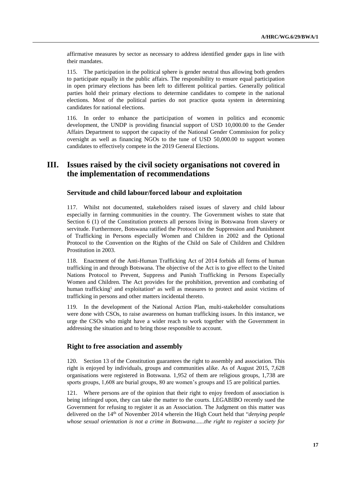affirmative measures by sector as necessary to address identified gender gaps in line with their mandates.

115. The participation in the political sphere is gender neutral thus allowing both genders to participate equally in the public affairs. The responsibility to ensure equal participation in open primary elections has been left to different political parties. Generally political parties hold their primary elections to determine candidates to compete in the national elections. Most of the political parties do not practice quota system in determining candidates for national elections.

116. In order to enhance the participation of women in politics and economic development, the UNDP is providing financial support of USD 10,000.00 to the Gender Affairs Department to support the capacity of the National Gender Commission for policy oversight as well as financing NGOs to the tune of USD 50,000.00 to support women candidates to effectively compete in the 2019 General Elections.

# **III. Issues raised by the civil society organisations not covered in the implementation of recommendations**

## **Servitude and child labour/forced labour and exploitation**

117. Whilst not documented, stakeholders raised issues of slavery and child labour especially in farming communities in the country. The Government wishes to state that Section 6 (1) of the Constitution protects all persons living in Botswana from slavery or servitude. Furthermore, Botswana ratified the Protocol on the Suppression and Punishment of Trafficking in Persons especially Women and Children in 2002 and the Optional Protocol to the Convention on the Rights of the Child on Sale of Children and Children Prostitution in 2003.

118. Enactment of the Anti-Human Trafficking Act of 2014 forbids all forms of human trafficking in and through Botswana. The objective of the Act is to give effect to the United Nations Protocol to Prevent, Suppress and Punish Trafficking in Persons Especially Women and Children. The Act provides for the prohibition, prevention and combating of human trafficking<sup>5</sup> and exploitation<sup>6</sup> as well as measures to protect and assist victims of trafficking in persons and other matters incidental thereto.

119. In the development of the National Action Plan, multi-stakeholder consultations were done with CSOs, to raise awareness on human trafficking issues. In this instance, we urge the CSOs who might have a wider reach to work together with the Government in addressing the situation and to bring those responsible to account.

## **Right to free association and assembly**

120. Section 13 of the Constitution guarantees the right to assembly and association. This right is enjoyed by individuals, groups and communities alike. As of August 2015, 7,628 organisations were registered in Botswana. 1,952 of them are religious groups, 1,738 are sports groups, 1,608 are burial groups, 80 are women's groups and 15 are political parties.

121. Where persons are of the opinion that their right to enjoy freedom of association is being infringed upon, they can take the matter to the courts. LEGABIBO recently sued the Government for refusing to register it as an Association. The Judgment on this matter was delivered on the 14th of November 2014 wherein the High Court held that "*denying people whose sexual orientation is not a crime in Botswana......the right to register a society for*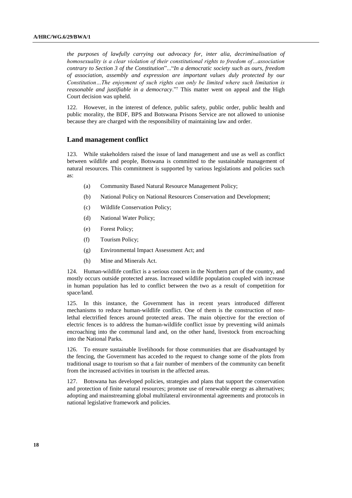*the purposes of lawfully carrying out advocacy for, inter alia, decriminalisation of homosexuality is a clear violation of their constitutional rights to freedom of…association contrary to Section 3 of the Constitution*"..."*In a democratic society such as ours, freedom of association, assembly and expression are important values duly protected by our Constitution…The enjoyment of such rights can only be limited where such limitation is reasonable and justifiable in a democracy*."<sup>7</sup> This matter went on appeal and the High Court decision was upheld.

122. However, in the interest of defence, public safety, public order, public health and public morality, the BDF, BPS and Botswana Prisons Service are not allowed to unionise because they are charged with the responsibility of maintaining law and order.

## **Land management conflict**

123. While stakeholders raised the issue of land management and use as well as conflict between wildlife and people, Botswana is committed to the sustainable management of natural resources. This commitment is supported by various legislations and policies such as:

- (a) Community Based Natural Resource Management Policy;
- (b) National Policy on National Resources Conservation and Development;
- (c) Wildlife Conservation Policy;
- (d) National Water Policy;
- (e) Forest Policy;
- (f) Tourism Policy;
- (g) Environmental Impact Assessment Act; and
- (h) Mine and Minerals Act.

124. Human-wildlife conflict is a serious concern in the Northern part of the country, and mostly occurs outside protected areas. Increased wildlife population coupled with increase in human population has led to conflict between the two as a result of competition for space/land.

125. In this instance, the Government has in recent years introduced different mechanisms to reduce human-wildlife conflict. One of them is the construction of nonlethal electrified fences around protected areas. The main objective for the erection of electric fences is to address the human-wildlife conflict issue by preventing wild animals encroaching into the communal land and, on the other hand, livestock from encroaching into the National Parks.

126. To ensure sustainable livelihoods for those communities that are disadvantaged by the fencing, the Government has acceded to the request to change some of the plots from traditional usage to tourism so that a fair number of members of the community can benefit from the increased activities in tourism in the affected areas.

127. Botswana has developed policies, strategies and plans that support the conservation and protection of finite natural resources; promote use of renewable energy as alternatives; adopting and mainstreaming global multilateral environmental agreements and protocols in national legislative framework and policies.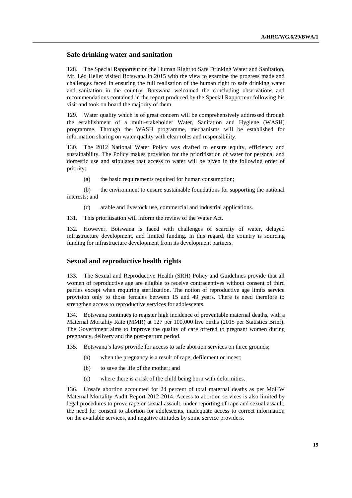## **Safe drinking water and sanitation**

128. The Special Rapporteur on the Human Right to Safe Drinking Water and Sanitation, Mr. Léo Heller visited Botswana in 2015 with the view to examine the progress made and challenges faced in ensuring the full realisation of the human right to safe drinking water and sanitation in the country. Botswana welcomed the concluding observations and recommendations contained in the report produced by the Special Rapporteur following his visit and took on board the majority of them.

129. Water quality which is of great concern will be comprehensively addressed through the establishment of a multi-stakeholder Water, Sanitation and Hygiene (WASH) programme. Through the WASH programme, mechanisms will be established for information sharing on water quality with clear roles and responsibility.

130. The 2012 National Water Policy was drafted to ensure equity, efficiency and sustainability. The Policy makes provision for the prioritisation of water for personal and domestic use and stipulates that access to water will be given in the following order of priority:

(a) the basic requirements required for human consumption;

(b) the environment to ensure sustainable foundations for supporting the national interests; and

(c) arable and livestock use, commercial and industrial applications.

131. This prioritisation will inform the review of the Water Act.

132. However, Botswana is faced with challenges of scarcity of water, delayed infrastructure development, and limited funding. In this regard, the country is sourcing funding for infrastructure development from its development partners.

### **Sexual and reproductive health rights**

133. The Sexual and Reproductive Health (SRH) Policy and Guidelines provide that all women of reproductive age are eligible to receive contraceptives without consent of third parties except when requiring sterilization. The notion of reproductive age limits service provision only to those females between 15 and 49 years. There is need therefore to strengthen access to reproductive services for adolescents.

134. Botswana continues to register high incidence of preventable maternal deaths, with a Maternal Mortality Rate (MMR) at 127 per 100,000 live births (2015 per Statistics Brief). The Government aims to improve the quality of care offered to pregnant women during pregnancy, delivery and the post-partum period.

135. Botswana's laws provide for access to safe abortion services on three grounds;

- (a) when the pregnancy is a result of rape, defilement or incest;
- (b) to save the life of the mother; and
- (c) where there is a risk of the child being born with deformities.

136. Unsafe abortion accounted for 24 percent of total maternal deaths as per MoHW Maternal Mortality Audit Report 2012-2014. Access to abortion services is also limited by legal procedures to prove rape or sexual assault, under reporting of rape and sexual assault, the need for consent to abortion for adolescents, inadequate access to correct information on the available services, and negative attitudes by some service providers.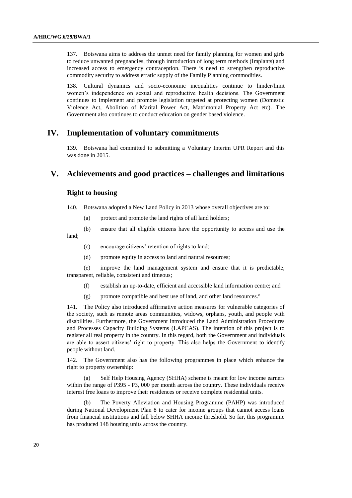137. Botswana aims to address the unmet need for family planning for women and girls to reduce unwanted pregnancies, through introduction of long term methods (Implants) and increased access to emergency contraception. There is need to strengthen reproductive commodity security to address erratic supply of the Family Planning commodities.

138. Cultural dynamics and socio-economic inequalities continue to hinder/limit women's independence on sexual and reproductive health decisions. The Government continues to implement and promote legislation targeted at protecting women (Domestic Violence Act, Abolition of Marital Power Act, Matrimonial Property Act etc). The Government also continues to conduct education on gender based violence.

## **IV. Implementation of voluntary commitments**

139. Botswana had committed to submitting a Voluntary Interim UPR Report and this was done in 2015.

# **V. Achievements and good practices – challenges and limitations**

## **Right to housing**

- 140. Botswana adopted a New Land Policy in 2013 whose overall objectives are to:
	- (a) protect and promote the land rights of all land holders;
- (b) ensure that all eligible citizens have the opportunity to access and use the land;
	- (c) encourage citizens' retention of rights to land;
	- (d) promote equity in access to land and natural resources;

(e) improve the land management system and ensure that it is predictable, transparent, reliable, consistent and timeous;

- (f) establish an up-to-date, efficient and accessible land information centre; and
- (g) promote compatible and best use of land, and other land resources.<sup>8</sup>

141. The Policy also introduced affirmative action measures for vulnerable categories of the society, such as remote areas communities, widows, orphans, youth, and people with disabilities. Furthermore, the Government introduced the Land Administration Procedures and Processes Capacity Building Systems (LAPCAS). The intention of this project is to register all real property in the country. In this regard, both the Government and individuals are able to assert citizens' right to property. This also helps the Government to identify people without land.

142. The Government also has the following programmes in place which enhance the right to property ownership:

(a) Self Help Housing Agency (SHHA) scheme is meant for low income earners within the range of P395 - P3, 000 per month across the country. These individuals receive interest free loans to improve their residences or receive complete residential units.

The Poverty Alleviation and Housing Programme (PAHP) was introduced during National Development Plan 8 to cater for income groups that cannot access loans from financial institutions and fall below SHHA income threshold. So far, this programme has produced 148 housing units across the country.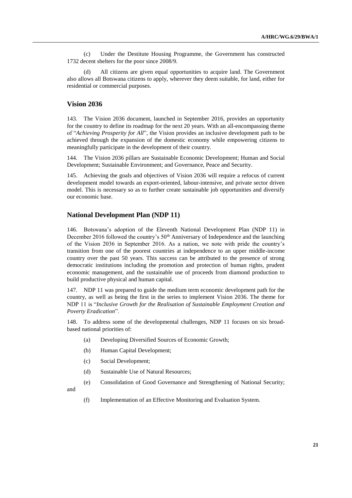(c) Under the Destitute Housing Programme, the Government has constructed 1732 decent shelters for the poor since 2008/9.

(d) All citizens are given equal opportunities to acquire land. The Government also allows all Botswana citizens to apply, wherever they deem suitable, for land, either for residential or commercial purposes.

### **Vision 2036**

143. The Vision 2036 document, launched in September 2016, provides an opportunity for the country to define its roadmap for the next 20 years. With an all-encompassing theme of "*Achieving Prosperity for All*", the Vision provides an inclusive development path to be achieved through the expansion of the domestic economy while empowering citizens to meaningfully participate in the development of their country.

144. The Vision 2036 pillars are Sustainable Economic Development; Human and Social Development; Sustainable Environment; and Governance, Peace and Security.

145. Achieving the goals and objectives of Vision 2036 will require a refocus of current development model towards an export-oriented, labour-intensive, and private sector driven model. This is necessary so as to further create sustainable job opportunities and diversify our economic base.

#### **National Development Plan (NDP 11)**

146. Botswana's adoption of the Eleventh National Development Plan (NDP 11) in December 2016 followed the country's  $50<sup>th</sup>$  Anniversary of Independence and the launching of the Vision 2036 in September 2016. As a nation, we note with pride the country's transition from one of the poorest countries at independence to an upper middle-income country over the past 50 years. This success can be attributed to the presence of strong democratic institutions including the promotion and protection of human rights, prudent economic management, and the sustainable use of proceeds from diamond production to build productive physical and human capital.

147. NDP 11 was prepared to guide the medium term economic development path for the country, as well as being the first in the series to implement Vision 2036. The theme for NDP 11 is "*Inclusive Growth for the Realisation of Sustainable Employment Creation and Poverty Eradication*".

148. To address some of the developmental challenges, NDP 11 focuses on six broadbased national priorities of:

- (a) Developing Diversified Sources of Economic Growth;
- (b) Human Capital Development;
- (c) Social Development;
- (d) Sustainable Use of Natural Resources;
- (e) Consolidation of Good Governance and Strengthening of National Security;

and

(f) Implementation of an Effective Monitoring and Evaluation System.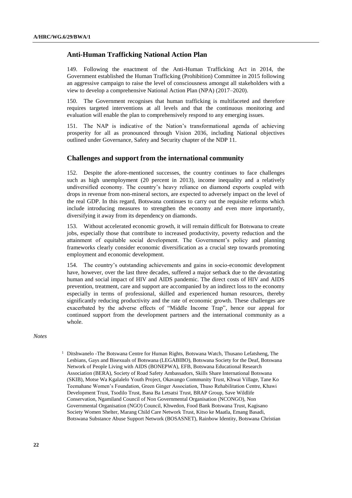## **Anti-Human Trafficking National Action Plan**

149. Following the enactment of the Anti-Human Trafficking Act in 2014, the Government established the Human Trafficking (Prohibition) Committee in 2015 following an aggressive campaign to raise the level of consciousness amongst all stakeholders with a view to develop a comprehensive National Action Plan (NPA) (2017–2020).

150. The Government recognises that human trafficking is multifaceted and therefore requires targeted interventions at all levels and that the continuous monitoring and evaluation will enable the plan to comprehensively respond to any emerging issues.

151. The NAP is indicative of the Nation's transformational agenda of achieving prosperity for all as pronounced through Vision 2036, including National objectives outlined under Governance, Safety and Security chapter of the NDP 11.

## **Challenges and support from the international community**

152. Despite the afore-mentioned successes, the country continues to face challenges such as high unemployment (20 percent in 2013), income inequality and a relatively undiversified economy. The country's heavy reliance on diamond exports coupled with drops in revenue from non-mineral sectors, are expected to adversely impact on the level of the real GDP. In this regard, Botswana continues to carry out the requisite reforms which include introducing measures to strengthen the economy and even more importantly, diversifying it away from its dependency on diamonds.

153. Without accelerated economic growth, it will remain difficult for Botswana to create jobs, especially those that contribute to increased productivity, poverty reduction and the attainment of equitable social development. The Government's policy and planning frameworks clearly consider economic diversification as a crucial step towards promoting employment and economic development.

154. The country's outstanding achievements and gains in socio-economic development have, however, over the last three decades, suffered a major setback due to the devastating human and social impact of HIV and AIDS pandemic. The direct costs of HIV and AIDS prevention, treatment, care and support are accompanied by an indirect loss to the economy especially in terms of professional, skilled and experienced human resources, thereby significantly reducing productivity and the rate of economic growth. These challenges are exacerbated by the adverse effects of "Middle Income Trap", hence our appeal for continued support from the development partners and the international community as a whole.

#### *Notes*

 $1$  Ditshwanelo -The Botswana Centre for Human Rights, Botswana Watch, Thusano Lefatsheng, The Lesbians, Gays and Bisexuals of Botswana (LEGABIBO), Botswana Society for the Deaf, Botswana Network of People Living with AIDS (BONEPWA), EFB, Botswana Educational Research Association (BERA), Society of Road Safety Ambassadors, Skills Share International Botswana (SKIB), Motse Wa Kgalalelo Youth Project, Okavango Community Trust, Khwai Village, Tane Ko Teemahane Women's Foundation, Green Ginger Association, Thuso Rehabilitation Centre, Khawi Development Trust, Tsodilo Trust, Bana Ba Letsatsi Trust, BRAP Group, Save Wildlife Conservation, Ngamiland Council of Non Governmental Organisation (NCONGO), Non Governmental Organisation (NGO) Council, Khwedon, Food Bank Botswana Trust, Kagisano Society Women Shelter, Marang Child Care Network Trust, Kitso ke Maatla, Emang Basadi, Botswana Substance Abuse Support Network (BOSASNET), Rainbow Identity, Botswana Christian